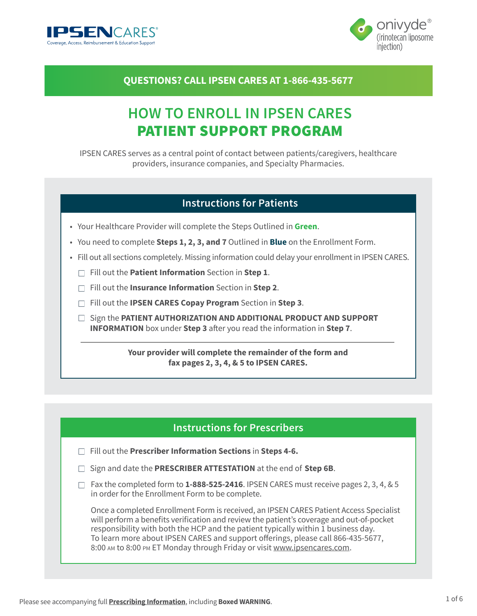



# **QUESTIONS? CALL IPSEN CARES AT 1-866-435-5677**

# **HOW TO ENROLL IN IPSEN CARES** PATIENT SUPPORT PROGRAM

IPSEN CARES serves as a central point of contact between patients/caregivers, healthcare providers, insurance companies, and Specialty Pharmacies.

### **Instructions for Patients**

- Your Healthcare Provider will complete the Steps Outlined in **Green**.
- You need to complete **Steps 1, 2, 3, and 7** Outlined in **Blue** on the Enrollment Form.
- Fill out all sections completely. Missing information could delay your enrollment in IPSEN CARES.
	- Fill out the **Patient Information** Section in **Step 1**.
	- Fill out the **Insurance Information** Section in **Step 2**.
	- Fill out the **IPSEN CARES Copay Program** Section in **Step 3**.
	- □ Sign the **PATIENT AUTHORIZATION AND ADDITIONAL PRODUCT AND SUPPORT INFORMATION** box under **Step 3** after you read the information in **Step 7**.

**Your provider will complete the remainder of the form and fax pages 2, 3, 4, & 5 to IPSEN CARES.**

### **Instructions for Prescribers**

- Fill out the **Prescriber Information Sections** in **Steps 4-6.**
- □ Sign and date the **PRESCRIBER ATTESTATION** at the end of Step 6B.
- $\Box$  Fax the completed form to **1-888-525-2416**. IPSEN CARES must receive pages 2, 3, 4, & 5 in order for the Enrollment Form to be complete.

Once a completed Enrollment Form is received, an IPSEN CARES Patient Access Specialist will perform a benefits verification and review the patient's coverage and out-of-pocket responsibility with both the HCP and the patient typically within 1 business day. To learn more about IPSEN CARES and support offerings, please call 866-435-5677, 8:00 AM to 8:00 PM ET Monday through Friday or visit [www.ipsencares.com.](http://www.ipsencares.com)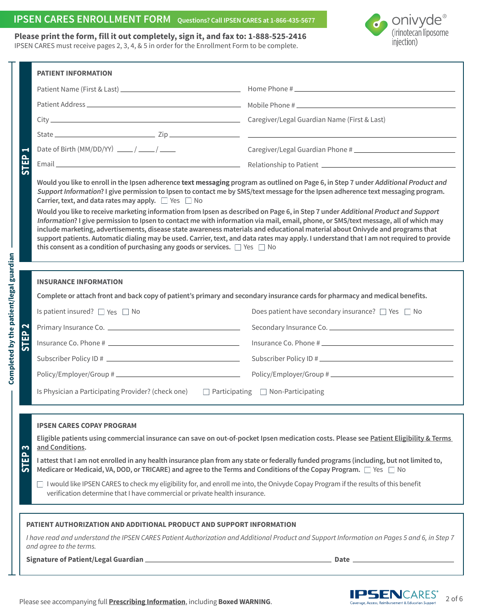# **IPSEN CARES ENROLLMENT FORM Questions? Call IPSEN CARES at 1-866-435-5677**

### **Onivyde**<sup>®</sup><br>(irinotecan liposome  $\boldsymbol{d}$ injection)

| Please print the form, fill it out completely, sign it, and fax to: 1-888-525-2416           |
|----------------------------------------------------------------------------------------------|
| IPSEN CARES must receive pages 2, 3, 4, & 5 in order for the Enrollment Form to be complete. |

|                                  | <b>PATIENT INFORMATION</b>                                                                                                                                                                                                                                                                                                                                                                                                                                                                                                                                                                                                                                                                                                                                                                                                                                                                                                                                                                    |                                                             |  |  |  |  |
|----------------------------------|-----------------------------------------------------------------------------------------------------------------------------------------------------------------------------------------------------------------------------------------------------------------------------------------------------------------------------------------------------------------------------------------------------------------------------------------------------------------------------------------------------------------------------------------------------------------------------------------------------------------------------------------------------------------------------------------------------------------------------------------------------------------------------------------------------------------------------------------------------------------------------------------------------------------------------------------------------------------------------------------------|-------------------------------------------------------------|--|--|--|--|
| $\blacksquare$<br>STEP           |                                                                                                                                                                                                                                                                                                                                                                                                                                                                                                                                                                                                                                                                                                                                                                                                                                                                                                                                                                                               |                                                             |  |  |  |  |
|                                  |                                                                                                                                                                                                                                                                                                                                                                                                                                                                                                                                                                                                                                                                                                                                                                                                                                                                                                                                                                                               |                                                             |  |  |  |  |
|                                  |                                                                                                                                                                                                                                                                                                                                                                                                                                                                                                                                                                                                                                                                                                                                                                                                                                                                                                                                                                                               |                                                             |  |  |  |  |
|                                  |                                                                                                                                                                                                                                                                                                                                                                                                                                                                                                                                                                                                                                                                                                                                                                                                                                                                                                                                                                                               |                                                             |  |  |  |  |
|                                  | Date of Birth (MM/DD/YY) $\frac{1}{\sqrt{1-\frac{1}{2}}}$                                                                                                                                                                                                                                                                                                                                                                                                                                                                                                                                                                                                                                                                                                                                                                                                                                                                                                                                     |                                                             |  |  |  |  |
|                                  |                                                                                                                                                                                                                                                                                                                                                                                                                                                                                                                                                                                                                                                                                                                                                                                                                                                                                                                                                                                               |                                                             |  |  |  |  |
|                                  | Would you like to enroll in the Ipsen adherence text messaging program as outlined on Page 6, in Step 7 under Additional Product and<br>Support Information? I give permission to Ipsen to contact me by SMS/text message for the Ipsen adherence text messaging program.<br>Carrier, text, and data rates may apply. $\Box$ Yes $\Box$ No<br>Would you like to receive marketing information from Ipsen as described on Page 6, in Step 7 under Additional Product and Support<br>Information? I give permission to Ipsen to contact me with information via mail, email, phone, or SMS/text message, all of which may<br>include marketing, advertisements, disease state awareness materials and educational material about Onivyde and programs that<br>support patients. Automatic dialing may be used. Carrier, text, and data rates may apply. I understand that I am not required to provide<br>this consent as a condition of purchasing any goods or services. $\Box$ Yes $\Box$ No |                                                             |  |  |  |  |
|                                  |                                                                                                                                                                                                                                                                                                                                                                                                                                                                                                                                                                                                                                                                                                                                                                                                                                                                                                                                                                                               |                                                             |  |  |  |  |
|                                  | <b>INSURANCE INFORMATION</b>                                                                                                                                                                                                                                                                                                                                                                                                                                                                                                                                                                                                                                                                                                                                                                                                                                                                                                                                                                  |                                                             |  |  |  |  |
|                                  | Complete or attach front and back copy of patient's primary and secondary insurance cards for pharmacy and medical benefits.                                                                                                                                                                                                                                                                                                                                                                                                                                                                                                                                                                                                                                                                                                                                                                                                                                                                  |                                                             |  |  |  |  |
| $\mathbf{\Omega}$<br><b>STEP</b> | Is patient insured? $\Box$ Yes $\Box$ No                                                                                                                                                                                                                                                                                                                                                                                                                                                                                                                                                                                                                                                                                                                                                                                                                                                                                                                                                      | Does patient have secondary insurance? $\Box$ Yes $\Box$ No |  |  |  |  |
|                                  |                                                                                                                                                                                                                                                                                                                                                                                                                                                                                                                                                                                                                                                                                                                                                                                                                                                                                                                                                                                               |                                                             |  |  |  |  |
|                                  |                                                                                                                                                                                                                                                                                                                                                                                                                                                                                                                                                                                                                                                                                                                                                                                                                                                                                                                                                                                               |                                                             |  |  |  |  |
|                                  |                                                                                                                                                                                                                                                                                                                                                                                                                                                                                                                                                                                                                                                                                                                                                                                                                                                                                                                                                                                               | Subscriber Policy ID #                                      |  |  |  |  |
|                                  |                                                                                                                                                                                                                                                                                                                                                                                                                                                                                                                                                                                                                                                                                                                                                                                                                                                                                                                                                                                               |                                                             |  |  |  |  |
|                                  | Is Physician a Participating Provider? (check one)<br>$\Box$ Participating $\Box$ Non-Participating                                                                                                                                                                                                                                                                                                                                                                                                                                                                                                                                                                                                                                                                                                                                                                                                                                                                                           |                                                             |  |  |  |  |
|                                  |                                                                                                                                                                                                                                                                                                                                                                                                                                                                                                                                                                                                                                                                                                                                                                                                                                                                                                                                                                                               |                                                             |  |  |  |  |
|                                  | <b>IPSEN CARES COPAY PROGRAM</b><br>Eligible patients using commercial insurance can save on out-of-pocket Ipsen medication costs. Please see Patient Eligibility & Terms                                                                                                                                                                                                                                                                                                                                                                                                                                                                                                                                                                                                                                                                                                                                                                                                                     |                                                             |  |  |  |  |
| $\mathbf{c}$<br>STEP             | and Conditions.                                                                                                                                                                                                                                                                                                                                                                                                                                                                                                                                                                                                                                                                                                                                                                                                                                                                                                                                                                               |                                                             |  |  |  |  |
|                                  | I attest that I am not enrolled in any health insurance plan from any state or federally funded programs (including, but not limited to,<br>Medicare or Medicaid, VA, DOD, or TRICARE) and agree to the Terms and Conditions of the Copay Program. □ Yes □ No                                                                                                                                                                                                                                                                                                                                                                                                                                                                                                                                                                                                                                                                                                                                 |                                                             |  |  |  |  |
|                                  | I would like IPSEN CARES to check my eligibility for, and enroll me into, the Onivyde Copay Program if the results of this benefit<br>verification determine that I have commercial or private health insurance.                                                                                                                                                                                                                                                                                                                                                                                                                                                                                                                                                                                                                                                                                                                                                                              |                                                             |  |  |  |  |
|                                  |                                                                                                                                                                                                                                                                                                                                                                                                                                                                                                                                                                                                                                                                                                                                                                                                                                                                                                                                                                                               |                                                             |  |  |  |  |
|                                  | PATIENT AUTHORIZATION AND ADDITIONAL PRODUCT AND SUPPORT INFORMATION<br>I have read and understand the IPSEN CARES Patient Authorization and Additional Product and Support Information on Pages 5 and 6, in Step 7<br>and agree to the terms.                                                                                                                                                                                                                                                                                                                                                                                                                                                                                                                                                                                                                                                                                                                                                |                                                             |  |  |  |  |
|                                  | <b>Signature of Patient/Legal Guardian</b><br>Date                                                                                                                                                                                                                                                                                                                                                                                                                                                                                                                                                                                                                                                                                                                                                                                                                                                                                                                                            |                                                             |  |  |  |  |

**Completed by the patient/legal guardian**

Completed by the patient/legal guardian

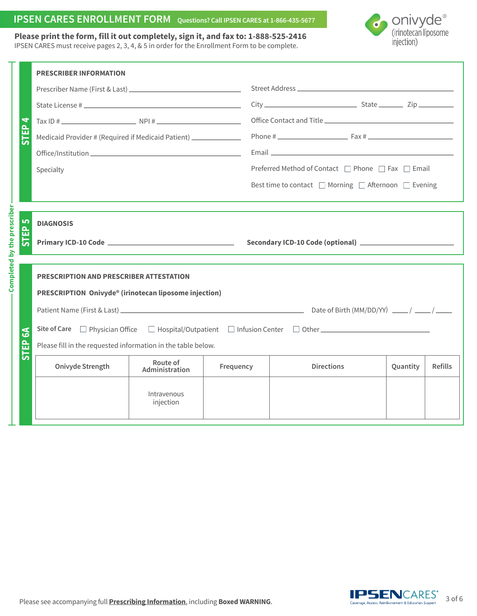### **IPSEN CARES ENROLLMENT FORM Questions? Call IPSEN CARES at 1-866-435-5677**

Onivyde<sup>®</sup><br>(irinotecan liposome injection)

#### **Please print the form, fill it out completely, sign it, and fax to: 1-888-525-2416** IPSEN CARES must receive pages 2, 3, 4, & 5 in order for the Enrollment Form to be complete.

**Completed by the prescriber**

Completed by the prescriber

|              | <b>PRESCRIBER INFORMATION</b>                                                                              |                            |           |                                                                     |          |                |  |
|--------------|------------------------------------------------------------------------------------------------------------|----------------------------|-----------|---------------------------------------------------------------------|----------|----------------|--|
|              |                                                                                                            |                            |           |                                                                     |          |                |  |
|              |                                                                                                            |                            |           | $City$ $City$ $Right$ $Zip$                                         |          |                |  |
| 4            |                                                                                                            |                            |           |                                                                     |          |                |  |
| STEP         | Medicaid Provider # (Required if Medicaid Patient) _____________                                           |                            |           |                                                                     |          |                |  |
|              |                                                                                                            |                            |           |                                                                     |          |                |  |
|              | Specialty                                                                                                  |                            |           | Preferred Method of Contact □ Phone □ Fax □ Email                   |          |                |  |
|              |                                                                                                            |                            |           | Best time to contact $\Box$ Morning $\Box$ Afternoon $\Box$ Evening |          |                |  |
|              |                                                                                                            |                            |           |                                                                     |          |                |  |
|              | <b>DIAGNOSIS</b>                                                                                           |                            |           |                                                                     |          |                |  |
| ш            |                                                                                                            |                            |           |                                                                     |          |                |  |
|              |                                                                                                            |                            |           |                                                                     |          |                |  |
|              |                                                                                                            |                            |           |                                                                     |          |                |  |
|              | PRESCRIPTION AND PRESCRIBER ATTESTATION                                                                    |                            |           |                                                                     |          |                |  |
|              | PRESCRIPTION Onivyde® (irinotecan liposome injection)                                                      |                            |           |                                                                     |          |                |  |
|              |                                                                                                            |                            |           |                                                                     |          |                |  |
| $\mathbf{S}$ | Site of Care $\Box$ Physician Office $\Box$ Hospital/Outpatient $\Box$ Infusion Center $\Box$ Other $\Box$ |                            |           |                                                                     |          |                |  |
| Ê<br>من      | Please fill in the requested information in the table below.                                               |                            |           |                                                                     |          |                |  |
|              | Onivyde Strength                                                                                           | Route of<br>Administration | Frequency | <b>Directions</b>                                                   | Quantity | <b>Refills</b> |  |
|              |                                                                                                            | Intravenous<br>injection   |           |                                                                     |          |                |  |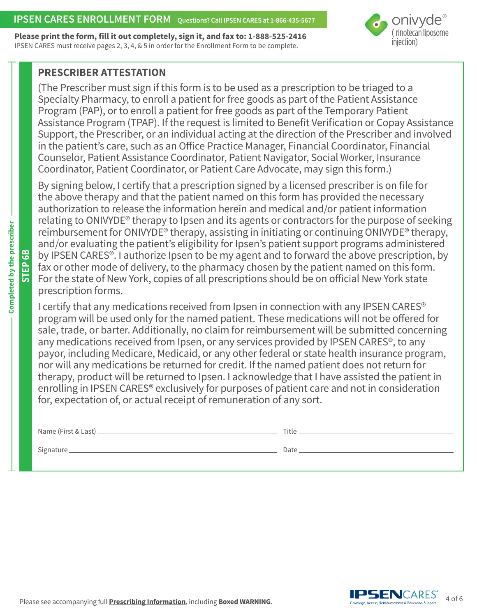### **IPSEN CARES ENROLLMENT FORM** Ouestions? Call IPSEN CARES at 1-866-435-5677

**Please print the form, fill it out completely, sign it, and fax to: 1-888-525-2416** IPSEN CARES must receive pages 2, 3, 4, & 5 in order for the Enrollment Form to be complete.



### **PRESCRIBER ATTESTATION**

(The Prescriber must sign if this form is to be used as a prescription to be triaged to a Specialty Pharmacy, to enroll a patient for free goods as part of the Patient Assistance Program (PAP), or to enroll a patient for free goods as part of the Temporary Patient Assistance Program (TPAP). If the request is limited to Benefit Verification or Copay Assistance Support, the Prescriber, or an individual acting at the direction of the Prescriber and involved in the patient's care, such as an Office Practice Manager, Financial Coordinator, Financial Counselor, Patient Assistance Coordinator, Patient Navigator, Social Worker, Insurance Coordinator, Patient Coordinator, or Patient Care Advocate, may sign this form.)

By signing below, I certify that a prescription signed by a licensed prescriber is on file for the above therapy and that the patient named on this form has provided the necessary authorization to release the information herein and medical and/or patient information relating to ONIVYDE® therapy to Ipsen and its agents or contractors for the purpose of seeking reimbursement for ONIVYDE® therapy, assisting in initiating or continuing ONIVYDE® therapy, and/or evaluating the patient's eligibility for Ipsen's patient support programs administered by IPSEN CARES®. I authorize Ipsen to be my agent and to forward the above prescription, by fax or other mode of delivery, to the pharmacy chosen by the patient named on this form. For the state of New York, copies of all prescriptions should be on official New York state prescription forms.

I certify that any medications received from Ipsen in connection with any IPSEN CARES® program will be used only for the named patient. These medications will not be offered for sale, trade, or barter. Additionally, no claim for reimbursement will be submitted concerning any medications received from Ipsen, or any services provided by IPSEN CARES®, to any payor, including Medicare, Medicaid, or any other federal or state health insurance program, nor will any medications be returned for credit. If the named patient does not return for therapy, product will be returned to Ipsen. I acknowledge that I have assisted the patient in enrolling in IPSEN CARES® exclusively for purposes of patient care and not in consideration for, expectation of, or actual receipt of remuneration of any sort.

| Name (First & Last) ______ | Title |
|----------------------------|-------|
| Signature                  | Date  |

**PSEN**CARES' 4 of 6 **Access Reimbursement & Education Support**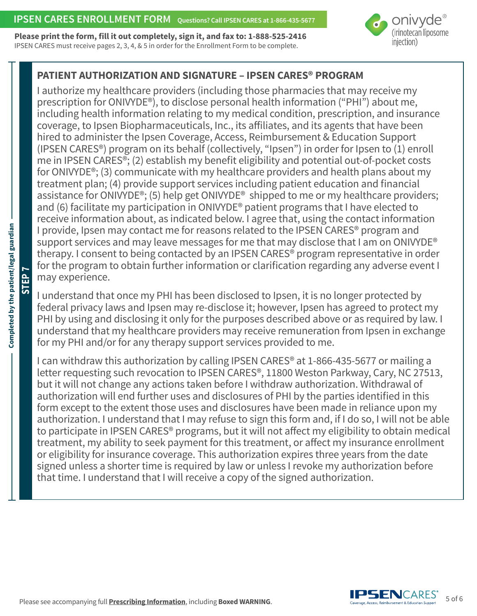**Please print the form, fill it out completely, sign it, and fax to: 1-888-525-2416** IPSEN CARES must receive pages 2, 3, 4, & 5 in order for the Enrollment Form to be complete.



# **PATIENT AUTHORIZATION AND SIGNATURE – IPSEN CARES® PROGRAM**

I authorize my healthcare providers (including those pharmacies that may receive my prescription for ONIVYDE®), to disclose personal health information ("PHI") about me, including health information relating to my medical condition, prescription, and insurance coverage, to Ipsen Biopharmaceuticals, Inc., its affiliates, and its agents that have been hired to administer the Ipsen Coverage, Access, Reimbursement & Education Support (IPSEN CARES®) program on its behalf (collectively, "Ipsen") in order for Ipsen to (1) enroll me in IPSEN CARES®; (2) establish my benefit eligibility and potential out-of-pocket costs for ONIVYDE®; (3) communicate with my healthcare providers and health plans about my treatment plan; (4) provide support services including patient education and financial assistance for ONIVYDE®; (5) help get ONIVYDE® shipped to me or my healthcare providers; and (6) facilitate my participation in ONIVYDE® patient programs that I have elected to receive information about, as indicated below. I agree that, using the contact information I provide, Ipsen may contact me for reasons related to the IPSEN CARES® program and support services and may leave messages for me that may disclose that I am on ONIVYDE<sup>®</sup> therapy. I consent to being contacted by an IPSEN CARES® program representative in order for the program to obtain further information or clarification regarding any adverse event I may experience.

I understand that once my PHI has been disclosed to Ipsen, it is no longer protected by federal privacy laws and Ipsen may re-disclose it; however, Ipsen has agreed to protect my PHI by using and disclosing it only for the purposes described above or as required by law. I understand that my healthcare providers may receive remuneration from Ipsen in exchange for my PHI and/or for any therapy support services provided to me.

I can withdraw this authorization by calling IPSEN CARES® at 1-866-435-5677 or mailing a letter requesting such revocation to IPSEN CARES®, 11800 Weston Parkway, Cary, NC 27513, but it will not change any actions taken before I withdraw authorization. Withdrawal of authorization will end further uses and disclosures of PHI by the parties identified in this form except to the extent those uses and disclosures have been made in reliance upon my authorization. I understand that I may refuse to sign this form and, if I do so, I will not be able to participate in IPSEN CARES® programs, but it will not affect my eligibility to obtain medical treatment, my ability to seek payment for this treatment, or affect my insurance enrollment or eligibility for insurance coverage. This authorization expires three years from the date signed unless a shorter time is required by law or unless I revoke my authorization before that time. I understand that I will receive a copy of the signed authorization.

**STEP 7**